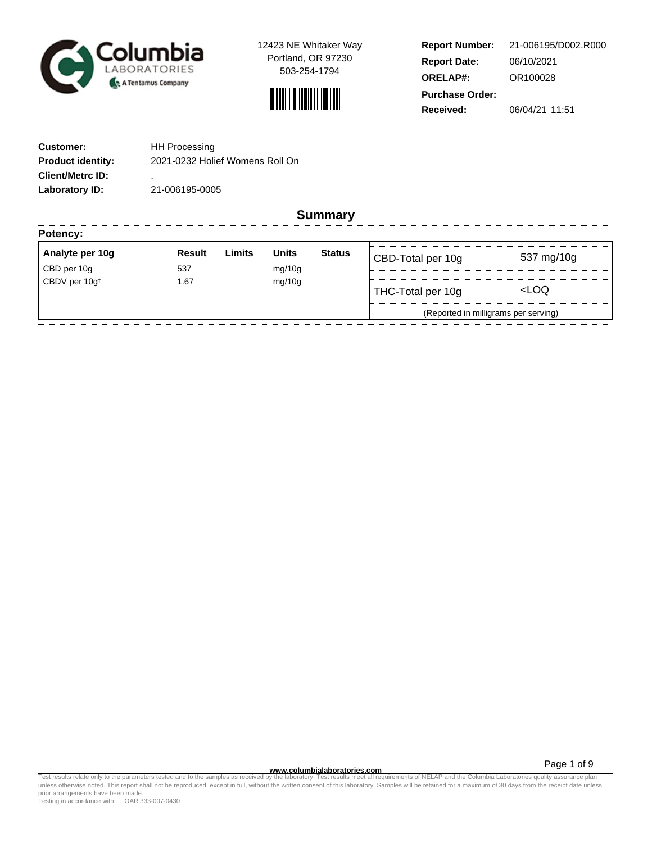

12423 NE Whitaker Way Portland, OR 97230 503-254-1794



**Report Number: Report Date: ORELAP#:** 06/10/2021 OR100028 **Received:** 06/04/21 11:51 **Purchase Order:** 21-006195/D002.R000

| <b>Customer:</b>         | <b>HH Processing</b>            |
|--------------------------|---------------------------------|
| <b>Product identity:</b> | 2021-0232 Holief Womens Roll On |
| <b>Client/Metrc ID:</b>  | ۰                               |
| Laboratory ID:           | 21-006195-0005                  |

**Summary**

| Analyte per 10g                   | <b>Result</b> | Limits | <b>Units</b> | <b>Status</b>     | CBD-Total per 10g                    | 537 mg/10g |
|-----------------------------------|---------------|--------|--------------|-------------------|--------------------------------------|------------|
| CBD per 10g                       | 537           |        | mg/10g       |                   |                                      |            |
| CBDV per 10g <sup>t</sup><br>1.67 |               | mg/10g |              | THC-Total per 10g | <loq< td=""></loq<>                  |            |
|                                   |               |        |              |                   | (Reported in milligrams per serving) |            |

Page 1 of 9

www.columbialaboratories.com<br>Test results relate only to the parameters tested and to the samples as received by the laboratories metall requirements of NELAP and the Columbia Laboratories quality assurance plan<br>unless oth prior arrangements have been made.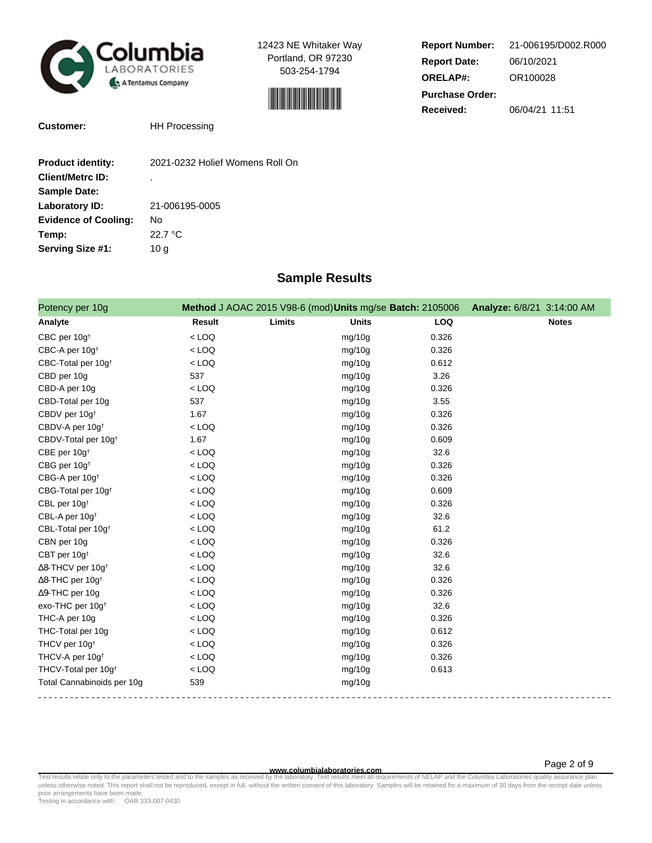

12423 NE Whitaker Way Portland, OR 97230 503-254-1794



| <b>Report Number:</b>  | 21-006195/D002.R000 |  |
|------------------------|---------------------|--|
| <b>Report Date:</b>    | 06/10/2021          |  |
| <b>ORELAP#:</b>        | OR100028            |  |
| <b>Purchase Order:</b> |                     |  |
| Received:              | 06/04/21 11:51      |  |

**Customer:** HH Processing

| <b>Product identity:</b>    | 2021-0232 Holief Womens Roll On |
|-----------------------------|---------------------------------|
| <b>Client/Metrc ID:</b>     | ٠                               |
| <b>Sample Date:</b>         |                                 |
| Laboratory ID:              | 21-006195-0005                  |
| <b>Evidence of Cooling:</b> | No                              |
| Temp:                       | 22.7 °C                         |
| Serving Size #1:            | 10 a                            |

## **Sample Results**

| Potency per 10g                      |         | Method J AOAC 2015 V98-6 (mod) Units mg/se Batch: 2105006 |            | Analyze: 6/8/21 3:14:00 AM |
|--------------------------------------|---------|-----------------------------------------------------------|------------|----------------------------|
| Analyte                              | Result  | Limits<br><b>Units</b>                                    | <b>LOQ</b> | <b>Notes</b>               |
| CBC per 10g <sup>t</sup>             | $<$ LOQ | mg/10g                                                    | 0.326      |                            |
| CBC-A per 10g <sup>t</sup>           | $<$ LOQ | mg/10g                                                    | 0.326      |                            |
| CBC-Total per 10g <sup>+</sup>       | $<$ LOQ | mg/10g                                                    | 0.612      |                            |
| CBD per 10g                          | 537     | mg/10g                                                    | 3.26       |                            |
| CBD-A per 10g                        | $<$ LOQ | mg/10g                                                    | 0.326      |                            |
| CBD-Total per 10g                    | 537     | mg/10g                                                    | 3.55       |                            |
| CBDV per 10g <sup>t</sup>            | 1.67    | mg/10g                                                    | 0.326      |                            |
| CBDV-A per 10g <sup>+</sup>          | $<$ LOQ | mg/10g                                                    | 0.326      |                            |
| CBDV-Total per 10g <sup>+</sup>      | 1.67    | mg/10g                                                    | 0.609      |                            |
| CBE per 10g <sup>t</sup>             | $<$ LOQ | mg/10g                                                    | 32.6       |                            |
| CBG per 10g <sup>+</sup>             | $<$ LOQ | mg/10g                                                    | 0.326      |                            |
| CBG-A per 10g <sup>+</sup>           | $<$ LOQ | mg/10g                                                    | 0.326      |                            |
| CBG-Total per 10g <sup>+</sup>       | $<$ LOQ | mg/10g                                                    | 0.609      |                            |
| CBL per 10g <sup>t</sup>             | $<$ LOQ | mg/10g                                                    | 0.326      |                            |
| CBL-A per 10g <sup>t</sup>           | $<$ LOQ | mg/10g                                                    | 32.6       |                            |
| CBL-Total per 10g <sup>+</sup>       | $<$ LOQ | mg/10g                                                    | 61.2       |                            |
| CBN per 10g                          | $<$ LOQ | mg/10g                                                    | 0.326      |                            |
| CBT per 10g <sup>+</sup>             | $<$ LOQ | mg/10g                                                    | 32.6       |                            |
| $\Delta$ 8-THCV per 10g <sup>+</sup> | $<$ LOQ | mg/10g                                                    | 32.6       |                            |
| ∆8-THC per 10g <sup>†</sup>          | $<$ LOQ | mg/10g                                                    | 0.326      |                            |
| ∆9-THC per 10g                       | $<$ LOQ | mg/10g                                                    | 0.326      |                            |
| exo-THC per 10g <sup>t</sup>         | $<$ LOQ | mg/10g                                                    | 32.6       |                            |
| THC-A per 10g                        | $<$ LOQ | mg/10g                                                    | 0.326      |                            |
| THC-Total per 10g                    | $<$ LOQ | mg/10g                                                    | 0.612      |                            |
| THCV per 10g <sup>+</sup>            | $<$ LOQ | mg/10g                                                    | 0.326      |                            |
| THCV-A per 10g <sup>+</sup>          | $<$ LOQ | mg/10g                                                    | 0.326      |                            |
| THCV-Total per 10g <sup>+</sup>      | $<$ LOQ | mg/10g                                                    | 0.613      |                            |
| Total Cannabinoids per 10g           | 539     | mg/10g                                                    |            |                            |

**WWW.columbialaboratories.com**<br>unless otherwise noted. This report shall not be reproduced, except in full, without the written consent of this laboratory. Samples will be retained for a maximum of 30 days from the receipt